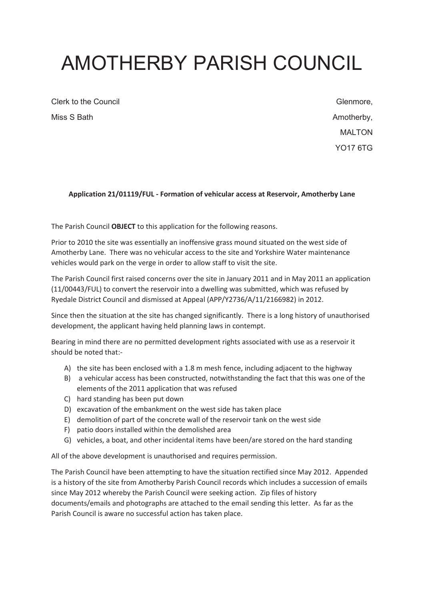# AMOTHERBY PARISH COUNCIL

Clerk to the Council Miss S Bath

Glenmore, Amotherby, MAI TON YO17 6TG

## **Application 21/01119/FUL - Formation of vehicular access at Reservoir, Amotherby Lane**

The Parish Council **OBJECT** to this application for the following reasons.

Prior to 2010 the site was essentially an inoffensive grass mound situated on the west side of Amotherby Lane. There was no vehicular access to the site and Yorkshire Water maintenance vehicles would park on the verge in order to allow staff to visit the site.

The Parish Council first raised concerns over the site in January 2011 and in May 2011 an application (11/00443/FUL) to convert the reservoir into a dwelling was submitted, which was refused by Ryedale District Council and dismissed at Appeal (APP/Y2736/A/11/2166982) in 2012.

Since then the situation at the site has changed significantly. There is a long history of unauthorised development, the applicant having held planning laws in contempt.

Bearing in mind there are no permitted development rights associated with use as a reservoir it should be noted that:-

- A) the site has been enclosed with a 1.8 m mesh fence, including adjacent to the highway
- B) a vehicular access has been constructed, notwithstanding the fact that this was one of the elements of the 2011 application that was refused
- C) hard standing has been put down
- D) excavation of the embankment on the west side has taken place
- E) demolition of part of the concrete wall of the reservoir tank on the west side
- F) patio doors installed within the demolished area
- G) vehicles, a boat, and other incidental items have been/are stored on the hard standing

All of the above development is unauthorised and requires permission.

The Parish Council have been attempting to have the situation rectified since May 2012. Appended is a history of the site from Amotherby Parish Council records which includes a succession of emails since May 2012 whereby the Parish Council were seeking action. Zip files of history documents/emails and photographs are attached to the email sending this letter. As far as the Parish Council is aware no successful action has taken place.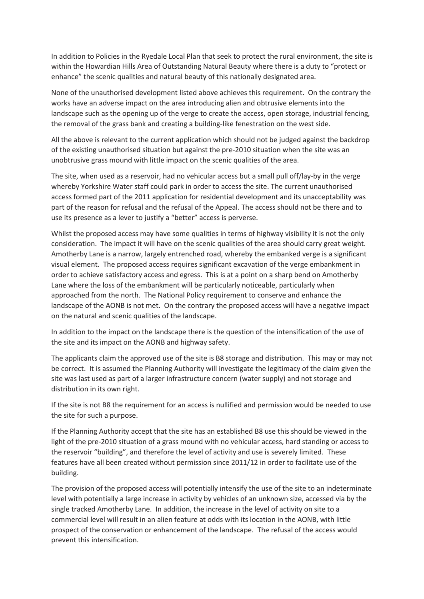In addition to Policies in the Ryedale Local Plan that seek to protect the rural environment, the site is within the Howardian Hills Area of Outstanding Natural Beauty where there is a duty to "protect or enhance" the scenic qualities and natural beauty of this nationally designated area.

None of the unauthorised development listed above achieves this requirement. On the contrary the works have an adverse impact on the area introducing alien and obtrusive elements into the landscape such as the opening up of the verge to create the access, open storage, industrial fencing, the removal of the grass bank and creating a building-like fenestration on the west side.

All the above is relevant to the current application which should not be judged against the backdrop of the existing unauthorised situation but against the pre-2010 situation when the site was an unobtrusive grass mound with little impact on the scenic qualities of the area.

The site, when used as a reservoir, had no vehicular access but a small pull off/lay-by in the verge whereby Yorkshire Water staff could park in order to access the site. The current unauthorised access formed part of the 2011 application for residential development and its unacceptability was part of the reason for refusal and the refusal of the Appeal. The access should not be there and to use its presence as a lever to justify a "better" access is perverse.

Whilst the proposed access may have some qualities in terms of highway visibility it is not the only consideration. The impact it will have on the scenic qualities of the area should carry great weight. Amotherby Lane is a narrow, largely entrenched road, whereby the embanked verge is a significant visual element. The proposed access requires significant excavation of the verge embankment in order to achieve satisfactory access and egress. This is at a point on a sharp bend on Amotherby Lane where the loss of the embankment will be particularly noticeable, particularly when approached from the north. The National Policy requirement to conserve and enhance the landscape of the AONB is not met. On the contrary the proposed access will have a negative impact on the natural and scenic qualities of the landscape.

In addition to the impact on the landscape there is the question of the intensification of the use of the site and its impact on the AONB and highway safety.

The applicants claim the approved use of the site is B8 storage and distribution. This may or may not be correct. It is assumed the Planning Authority will investigate the legitimacy of the claim given the site was last used as part of a larger infrastructure concern (water supply) and not storage and distribution in its own right.

If the site is not B8 the requirement for an access is nullified and permission would be needed to use the site for such a purpose.

If the Planning Authority accept that the site has an established B8 use this should be viewed in the light of the pre-2010 situation of a grass mound with no vehicular access, hard standing or access to the reservoir "building", and therefore the level of activity and use is severely limited. These features have all been created without permission since 2011/12 in order to facilitate use of the building.

The provision of the proposed access will potentially intensify the use of the site to an indeterminate level with potentially a large increase in activity by vehicles of an unknown size, accessed via by the single tracked Amotherby Lane. In addition, the increase in the level of activity on site to a commercial level will result in an alien feature at odds with its location in the AONB, with little prospect of the conservation or enhancement of the landscape. The refusal of the access would prevent this intensification.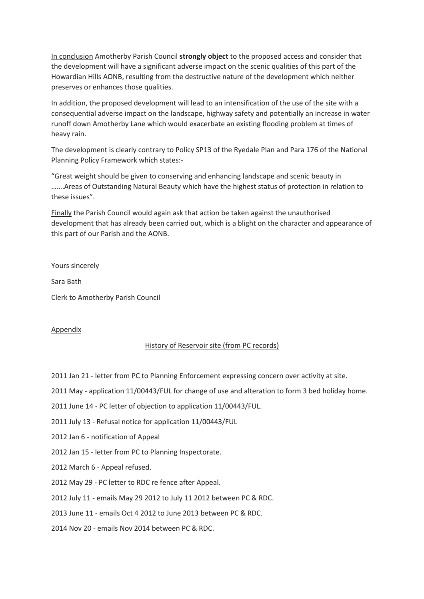In conclusion Amotherby Parish Council **strongly object** to the proposed access and consider that the development will have a significant adverse impact on the scenic qualities of this part of the Howardian Hills AONB, resulting from the destructive nature of the development which neither preserves or enhances those qualities.

In addition, the proposed development will lead to an intensification of the use of the site with a consequential adverse impact on the landscape, highway safety and potentially an increase in water runoff down Amotherby Lane which would exacerbate an existing flooding problem at times of heavy rain.

The development is clearly contrary to Policy SP13 of the Ryedale Plan and Para 176 of the National Planning Policy Framework which states:-

"Great weight should be given to conserving and enhancing landscape and scenic beauty in …….Areas of Outstanding Natural Beauty which have the highest status of protection in relation to these issues".

Finally the Parish Council would again ask that action be taken against the unauthorised development that has already been carried out, which is a blight on the character and appearance of this part of our Parish and the AONB.

Yours sincerely

Sara Bath

Clerk to Amotherby Parish Council

### Appendix

### History of Reservoir site (from PC records)

- 2011 Jan 21 letter from PC to Planning Enforcement expressing concern over activity at site.
- 2011 May application 11/00443/FUL for change of use and alteration to form 3 bed holiday home.
- 2011 June 14 PC letter of objection to application 11/00443/FUL.
- 2011 July 13 Refusal notice for application 11/00443/FUL
- 2012 Jan 6 notification of Appeal
- 2012 Jan 15 letter from PC to Planning Inspectorate.
- 2012 March 6 Appeal refused.
- 2012 May 29 PC letter to RDC re fence after Appeal.

### 2012 July 11 - emails May 29 2012 to July 11 2012 between PC & RDC.

### 2013 June 11 - emails Oct 4 2012 to June 2013 between PC & RDC.

2014 Nov 20 - emails Nov 2014 between PC & RDC.